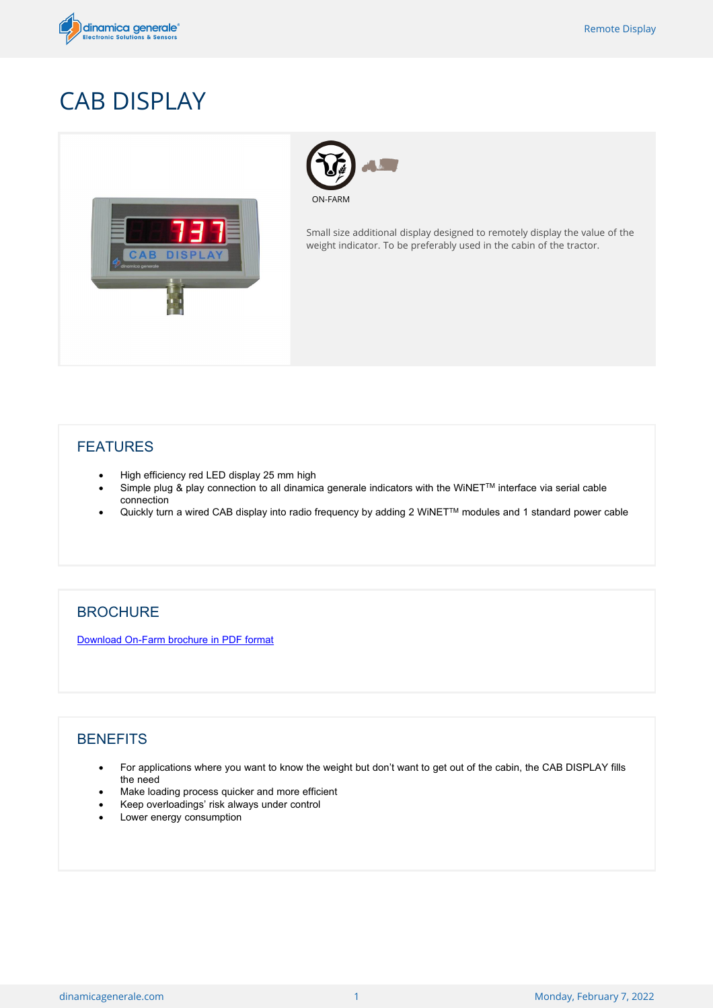

## CAB DISPLAY





Small size additional display designed to remotely display the value of the weight indicator. To be preferably used in the cabin of the tractor.

## FEATURES

- · High efficiency red LED display 25 mm high
- Simple plug & play connection to all dinamica generale indicators with the WiNET™ interface via serial cable connection
- · Quickly turn a wired CAB display into radio frequency by adding 2 WiNETTM modules and 1 standard power cable

## **BROCHURE**

[Download](/public/brochures/en/ONFARM-A1-19.pdf) [On-Farm](/public/brochures/en/ONFARM-A1-19.pdf) [brochure](/public/brochures/en/ONFARM-A1-19.pdf) [in](/public/brochures/en/ONFARM-A1-19.pdf) [PDF](/public/brochures/en/ONFARM-A1-19.pdf) [format](/public/brochures/en/ONFARM-A1-19.pdf)

## **BENEFITS**

- · For applications where you want to know the weight but don't want to get out of the cabin, the CAB DISPLAY fills the need
- Make loading process quicker and more efficient
- · Keep overloadings' risk always under control
- Lower energy consumption